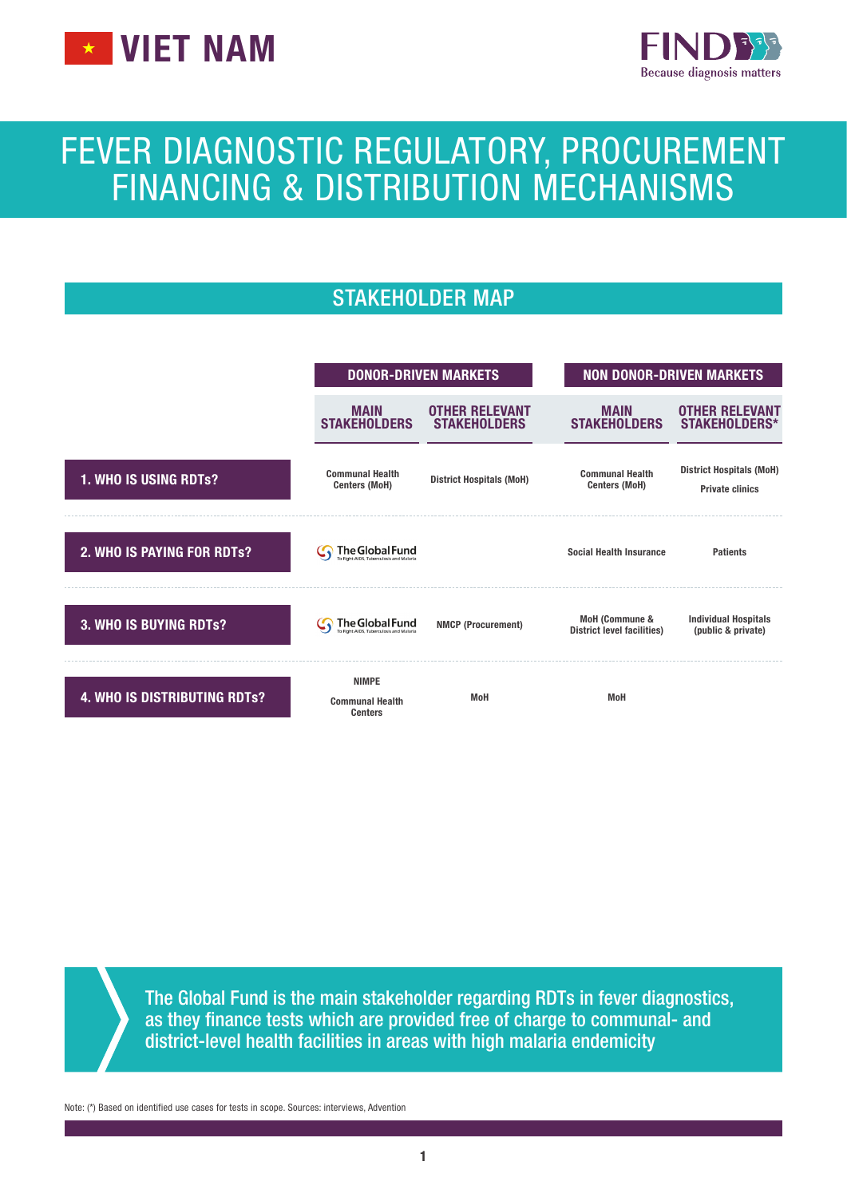



# FEVER DIAGNOSTIC REGULATORY, PROCUREMENT FINANCING & DISTRIBUTION MECHANISMS

# STAKEHOLDER MAP



The Global Fund is the main stakeholder regarding RDTs in fever diagnostics, as they finance tests which are provided free of charge to communal- and district-level health facilities in areas with high malaria endemicity

Note: (\*) Based on identified use cases for tests in scope. Sources: interviews, Advention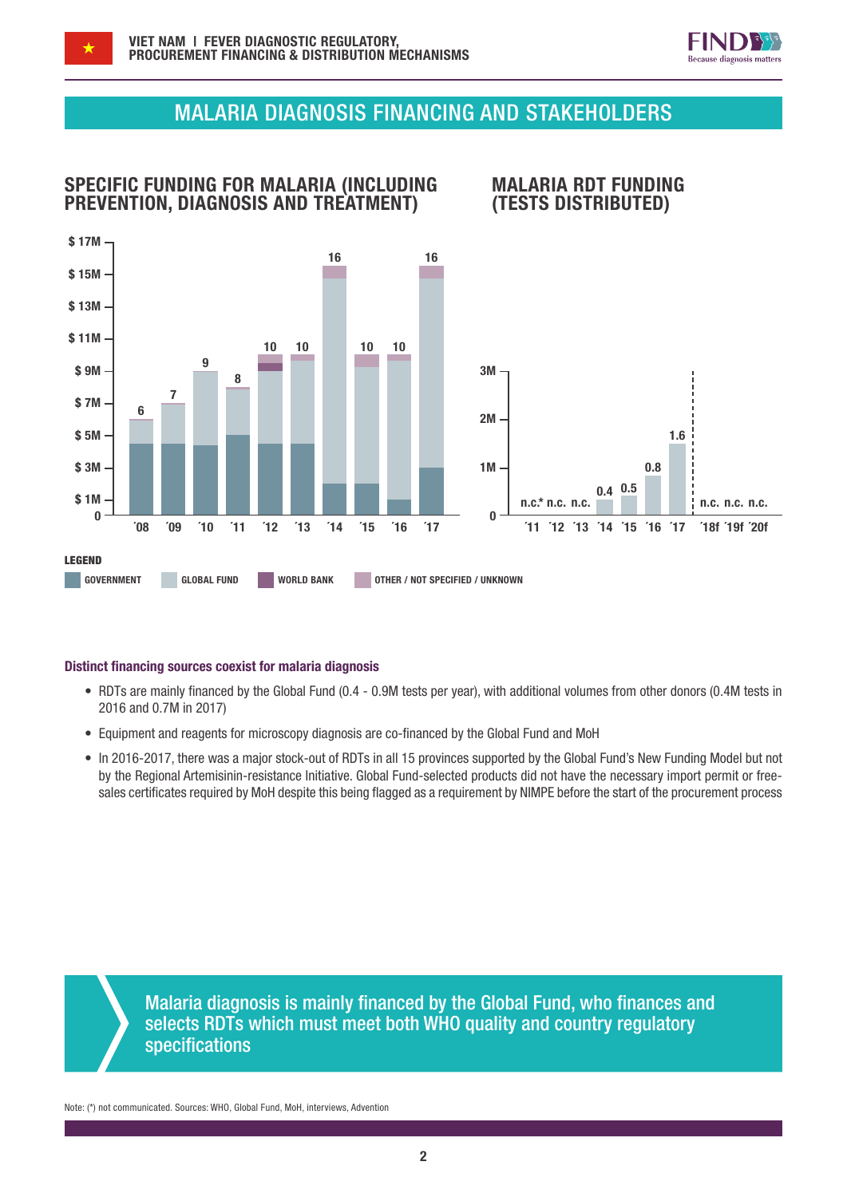

# MALARIA DIAGNOSIS FINANCING AND STAKEHOLDERS



### Distinct financing sources coexist for malaria diagnosis

- RDTs are mainly financed by the Global Fund (0.4 0.9M tests per year), with additional volumes from other donors (0.4M tests in 2016 and 0.7M in 2017)
- Equipment and reagents for microscopy diagnosis are co-financed by the Global Fund and MoH
- In 2016-2017, there was a major stock-out of RDTs in all 15 provinces supported by the Global Fund's New Funding Model but not by the Regional Artemisinin-resistance Initiative. Global Fund-selected products did not have the necessary import permit or freesales certificates required by MoH despite this being flagged as a requirement by NIMPE before the start of the procurement process

Malaria diagnosis is mainly financed by the Global Fund, who finances and selects RDTs which must meet both WHO quality and country regulatory specifications

Note: (\*) not communicated. Sources: WHO, Global Fund, MoH, interviews, Advention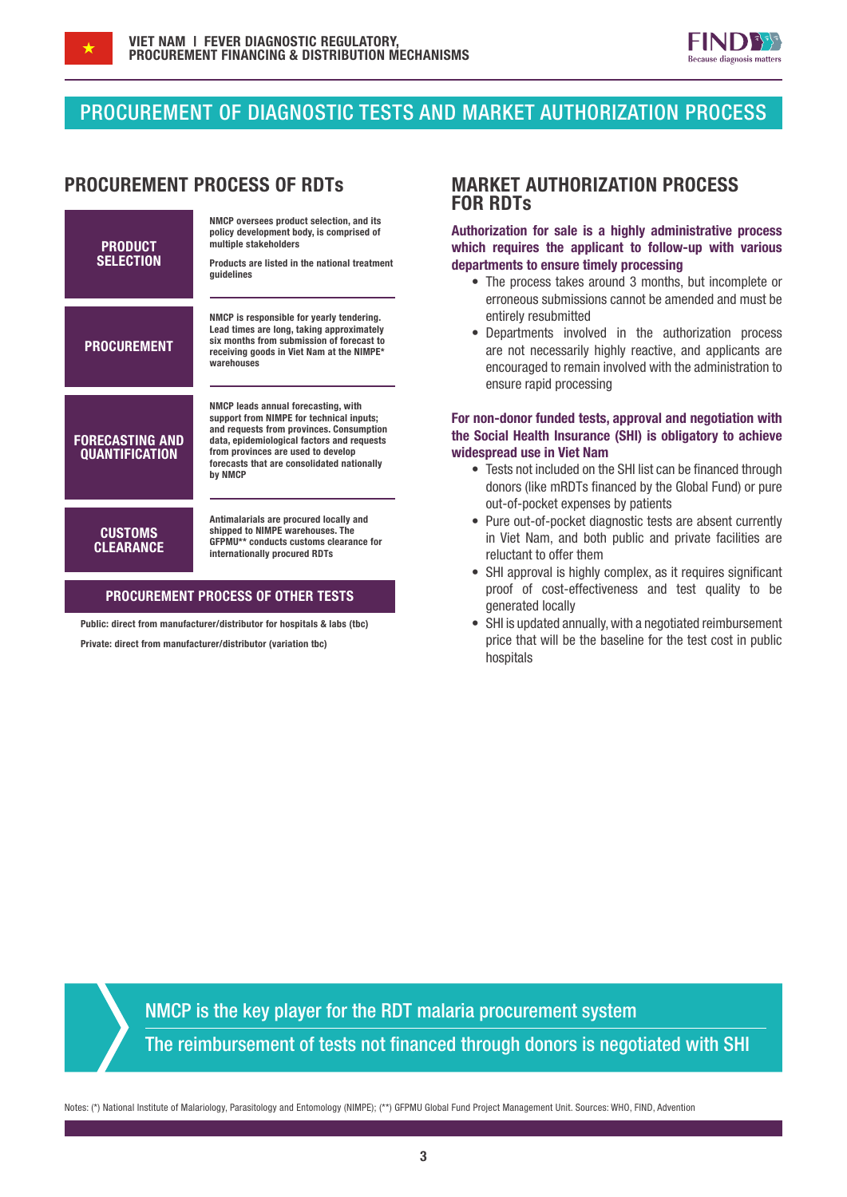



## PROCUREMENT OF DIAGNOSTIC TESTS AND MARKET AUTHORIZATION PROCESS



### PROCUREMENT PROCESS OF OTHER TESTS

Public: direct from manufacturer/distributor for hospitals & labs (tbc) Private: direct from manufacturer/distributor (variation tbc)

### PROCUREMENT PROCESS OF RDTs MARKET AUTHORIZATION PROCESS FOR RDTs

Authorization for sale is a highly administrative process which requires the applicant to follow-up with various departments to ensure timely processing

- The process takes around 3 months, but incomplete or erroneous submissions cannot be amended and must be entirely resubmitted
- Departments involved in the authorization process are not necessarily highly reactive, and applicants are encouraged to remain involved with the administration to ensure rapid processing

### For non-donor funded tests, approval and negotiation with the Social Health Insurance (SHI) is obligatory to achieve widespread use in Viet Nam

- Tests not included on the SHI list can be financed through donors (like mRDTs financed by the Global Fund) or pure out-of-pocket expenses by patients
- Pure out-of-pocket diagnostic tests are absent currently in Viet Nam, and both public and private facilities are reluctant to offer them
- SHI approval is highly complex, as it requires significant proof of cost-effectiveness and test quality to be generated locally
- SHI is updated annually, with a negotiated reimbursement price that will be the baseline for the test cost in public hospitals

NMCP is the key player for the RDT malaria procurement system

The reimbursement of tests not financed through donors is negotiated with SHI

Notes: (\*) National Institute of Malariology, Parasitology and Entomology (NIMPE); (\*\*) GFPMU Global Fund Project Management Unit. Sources: WHO, FIND, Advention